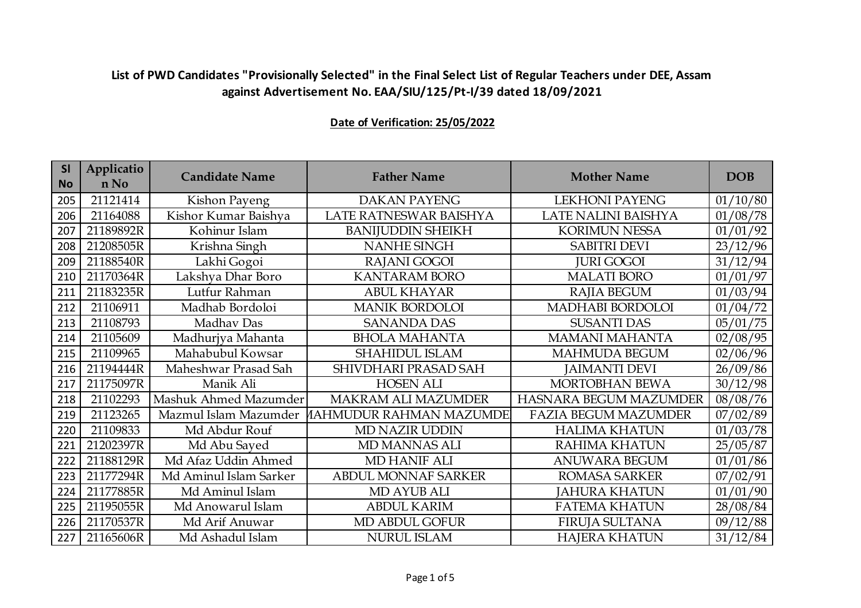| <b>SI</b><br><b>No</b> | Applicatio<br>n No | <b>Candidate Name</b>  | <b>Father Name</b>         | <b>Mother Name</b>          | <b>DOB</b> |
|------------------------|--------------------|------------------------|----------------------------|-----------------------------|------------|
| 205                    | 21121414           | Kishon Payeng          | <b>DAKAN PAYENG</b>        | <b>LEKHONI PAYENG</b>       | 01/10/80   |
| 206                    | 21164088           | Kishor Kumar Baishya   | LATE RATNESWAR BAISHYA     | LATE NALINI BAISHYA         | 01/08/78   |
| 207                    | 21189892R          | Kohinur Islam          | <b>BANIJUDDIN SHEIKH</b>   | <b>KORIMUN NESSA</b>        | 01/01/92   |
| 208                    | 21208505R          | Krishna Singh          | <b>NANHE SINGH</b>         | <b>SABITRI DEVI</b>         | 23/12/96   |
| 209                    | 21188540R          | Lakhi Gogoi            | RAJANI GOGOI               | <b>JURI GOGOI</b>           | 31/12/94   |
| 210                    | 21170364R          | Lakshya Dhar Boro      | <b>KANTARAM BORO</b>       | <b>MALATI BORO</b>          | 01/01/97   |
| 211                    | 21183235R          | Lutfur Rahman          | <b>ABUL KHAYAR</b>         | RAJIA BEGUM                 | 01/03/94   |
| 212                    | 21106911           | Madhab Bordoloi        | <b>MANIK BORDOLOI</b>      | MADHABI BORDOLOI            | 01/04/72   |
| 213                    | 21108793           | Madhav Das             | <b>SANANDA DAS</b>         | <b>SUSANTI DAS</b>          | 05/01/75   |
| 214                    | 21105609           | Madhurjya Mahanta      | <b>BHOLA MAHANTA</b>       | <b>MAMANI MAHANTA</b>       | 02/08/95   |
| 215                    | 21109965           | Mahabubul Kowsar       | <b>SHAHIDUL ISLAM</b>      | <b>MAHMUDA BEGUM</b>        | 02/06/96   |
| 216                    | 21194444R          | Maheshwar Prasad Sah   | SHIVDHARI PRASAD SAH       | <b>JAIMANTI DEVI</b>        | 26/09/86   |
| 217                    | 21175097R          | Manik Ali              | <b>HOSEN ALI</b>           | MORTOBHAN BEWA              | 30/12/98   |
| 218                    | 21102293           | Mashuk Ahmed Mazumder  | <b>MAKRAM ALI MAZUMDER</b> | HASNARA BEGUM MAZUMDER      | 08/08/76   |
| 219                    | 21123265           | Mazmul Islam Mazumder  | IAHMUDUR RAHMAN MAZUMDE    | <b>FAZIA BEGUM MAZUMDER</b> | 07/02/89   |
| 220                    | 21109833           | Md Abdur Rouf          | <b>MD NAZIR UDDIN</b>      | <b>HALIMA KHATUN</b>        | 01/03/78   |
| 221                    | 21202397R          | Md Abu Sayed           | MD MANNAS ALI              | RAHIMA KHATUN               | 25/05/87   |
| 222                    | 21188129R          | Md Afaz Uddin Ahmed    | MD HANIF ALI               | <b>ANUWARA BEGUM</b>        | 01/01/86   |
| 223                    | 21177294R          | Md Aminul Islam Sarker | <b>ABDUL MONNAF SARKER</b> | <b>ROMASA SARKER</b>        | 07/02/91   |
| 224                    | 21177885R          | Md Aminul Islam        | MD AYUB ALI                | <b>JAHURA KHATUN</b>        | 01/01/90   |
| 225                    | 21195055R          | Md Anowarul Islam      | <b>ABDUL KARIM</b>         | <b>FATEMA KHATUN</b>        | 28/08/84   |
| 226                    | 21170537R          | Md Arif Anuwar         | MD ABDUL GOFUR             | <b>FIRUJA SULTANA</b>       | 09/12/88   |
| 227                    | 21165606R          | Md Ashadul Islam       | <b>NURUL ISLAM</b>         | <b>HAJERA KHATUN</b>        | 31/12/84   |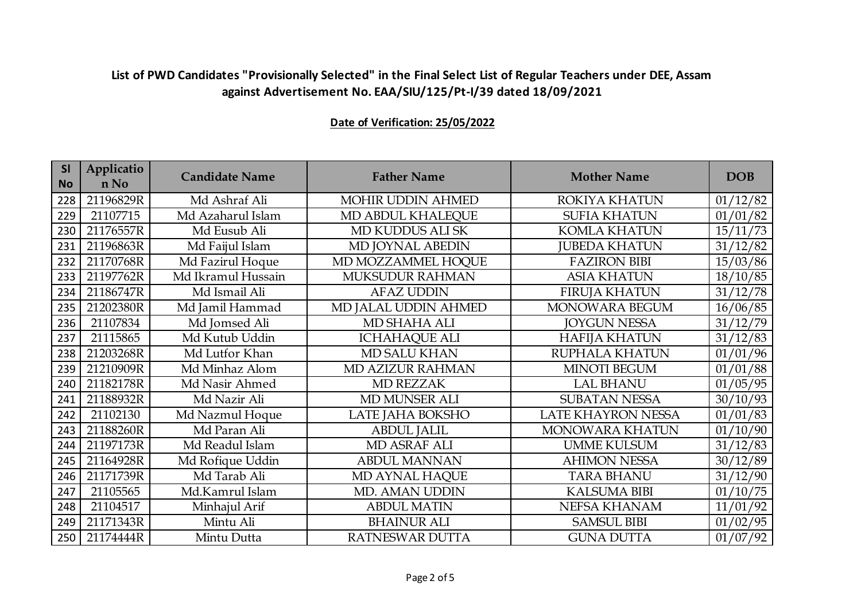| <b>SI</b><br><b>No</b> | Applicatio<br>n No | <b>Candidate Name</b> | <b>Father Name</b>   | <b>Mother Name</b>    | <b>DOB</b> |
|------------------------|--------------------|-----------------------|----------------------|-----------------------|------------|
| 228                    | 21196829R          | Md Ashraf Ali         | MOHIR UDDIN AHMED    | ROKIYA KHATUN         | 01/12/82   |
| 229                    | 21107715           | Md Azaharul Islam     | MD ABDUL KHALEQUE    | <b>SUFIA KHATUN</b>   | 01/01/82   |
| 230                    | 21176557R          | Md Eusub Ali          | MD KUDDUS ALI SK     | <b>KOMLA KHATUN</b>   | 15/11/73   |
| 231                    | 21196863R          | Md Faijul Islam       | MD JOYNAL ABEDIN     | <b>JUBEDA KHATUN</b>  | 31/12/82   |
| 232                    | 21170768R          | Md Fazirul Hoque      | MD MOZZAMMEL HOQUE   | <b>FAZIRON BIBI</b>   | 15/03/86   |
| 233                    | 21197762R          | Md Ikramul Hussain    | MUKSUDUR RAHMAN      | <b>ASIA KHATUN</b>    | 18/10/85   |
| 234                    | 21186747R          | Md Ismail Ali         | <b>AFAZ UDDIN</b>    | <b>FIRUJA KHATUN</b>  | 31/12/78   |
| 235                    | 21202380R          | Md Jamil Hammad       | MD JALAL UDDIN AHMED | MONOWARA BEGUM        | 16/06/85   |
| 236                    | 21107834           | Md Jomsed Ali         | MD SHAHA ALI         | <b>JOYGUN NESSA</b>   | 31/12/79   |
| 237                    | 21115865           | Md Kutub Uddin        | <b>ICHAHAQUE ALI</b> | <b>HAFIJA KHATUN</b>  | 31/12/83   |
| 238                    | 21203268R          | Md Lutfor Khan        | MD SALU KHAN         | <b>RUPHALA KHATUN</b> | 01/01/96   |
| 239                    | 21210909R          | Md Minhaz Alom        | MD AZIZUR RAHMAN     | <b>MINOTI BEGUM</b>   | 01/01/88   |
| 240                    | 21182178R          | Md Nasir Ahmed        | <b>MD REZZAK</b>     | <b>LAL BHANU</b>      | 01/05/95   |
| 241                    | 21188932R          | Md Nazir Ali          | <b>MD MUNSER ALI</b> | <b>SUBATAN NESSA</b>  | 30/10/93   |
| 242                    | 21102130           | Md Nazmul Hoque       | LATE JAHA BOKSHO     | LATE KHAYRON NESSA    | 01/01/83   |
| 243                    | 21188260R          | Md Paran Ali          | <b>ABDUL JALIL</b>   | MONOWARA KHATUN       | 01/10/90   |
| 244                    | 21197173R          | Md Readul Islam       | MD ASRAF ALI         | <b>UMME KULSUM</b>    | 31/12/83   |
| 245                    | 21164928R          | Md Rofique Uddin      | <b>ABDUL MANNAN</b>  | <b>AHIMON NESSA</b>   | 30/12/89   |
| 246                    | 21171739R          | Md Tarab Ali          | MD AYNAL HAQUE       | <b>TARA BHANU</b>     | 31/12/90   |
| 247                    | 21105565           | Md.Kamrul Islam       | MD. AMAN UDDIN       | <b>KALSUMA BIBI</b>   | 01/10/75   |
| 248                    | 21104517           | Minhajul Arif         | <b>ABDUL MATIN</b>   | NEFSA KHANAM          | 11/01/92   |
| 249                    | 21171343R          | Mintu Ali             | <b>BHAINUR ALI</b>   | <b>SAMSUL BIBI</b>    | 01/02/95   |
| 250                    | 21174444R          | Mintu Dutta           | RATNESWAR DUTTA      | <b>GUNA DUTTA</b>     | 01/07/92   |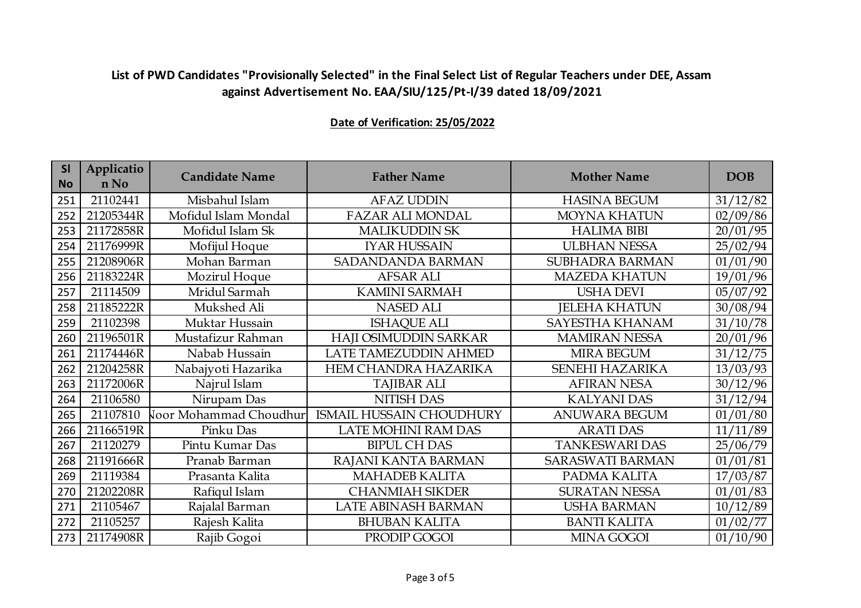| <b>SI</b><br><b>No</b> | Applicatio<br>n No | <b>Candidate Name</b>  | <b>Father Name</b>              | <b>Mother Name</b>      | <b>DOB</b> |
|------------------------|--------------------|------------------------|---------------------------------|-------------------------|------------|
| 251                    | 21102441           | Misbahul Islam         | <b>AFAZ UDDIN</b>               | <b>HASINA BEGUM</b>     | 31/12/82   |
| 252                    | 21205344R          | Mofidul Islam Mondal   | <b>FAZAR ALI MONDAL</b>         | <b>MOYNA KHATUN</b>     | 02/09/86   |
| 253                    | 21172858R          | Mofidul Islam Sk       | <b>MALIKUDDIN SK</b>            | <b>HALIMA BIBI</b>      | 20/01/95   |
| 254                    | 21176999R          | Mofijul Hoque          | <b>IYAR HUSSAIN</b>             | <b>ULBHAN NESSA</b>     | 25/02/94   |
| 255                    | 21208906R          | Mohan Barman           | <b>SADANDANDA BARMAN</b>        | <b>SUBHADRA BARMAN</b>  | 01/01/90   |
| 256                    | 21183224R          | Mozirul Hoque          | <b>AFSAR ALI</b>                | <b>MAZEDA KHATUN</b>    | 19/01/96   |
| 257                    | 21114509           | Mridul Sarmah          | <b>KAMINI SARMAH</b>            | <b>USHA DEVI</b>        | 05/07/92   |
| 258                    | 21185222R          | Mukshed Ali            | <b>NASED ALI</b>                | <b>JELEHA KHATUN</b>    | 30/08/94   |
| 259                    | 21102398           | Muktar Hussain         | <b>ISHAQUE ALI</b>              | SAYESTHA KHANAM         | 31/10/78   |
| 260                    | 21196501R          | Mustafizur Rahman      | HAJI OSIMUDDIN SARKAR           | <b>MAMIRAN NESSA</b>    | 20/01/96   |
| 261                    | 21174446R          | Nabab Hussain          | LATE TAMEZUDDIN AHMED           | <b>MIRA BEGUM</b>       | 31/12/75   |
| 262                    | 21204258R          | Nabajyoti Hazarika     | HEM CHANDRA HAZARIKA            | <b>SENEHI HAZARIKA</b>  | 13/03/93   |
| 263                    | 21172006R          | Najrul Islam           | <b>TAJIBAR ALI</b>              | <b>AFIRAN NESA</b>      | 30/12/96   |
| 264                    | 21106580           | Nirupam Das            | <b>NITISH DAS</b>               | <b>KALYANI DAS</b>      | 31/12/94   |
| 265                    | 21107810           | Voor Mohammad Choudhur | <b>ISMAIL HUSSAIN CHOUDHURY</b> | <b>ANUWARA BEGUM</b>    | 01/01/80   |
| 266                    | 21166519R          | Pinku Das              | LATE MOHINI RAM DAS             | <b>ARATI DAS</b>        | 11/11/89   |
| 267                    | 21120279           | Pintu Kumar Das        | <b>BIPUL CH DAS</b>             | <b>TANKESWARI DAS</b>   | 25/06/79   |
| 268                    | 21191666R          | Pranab Barman          | RAJANI KANTA BARMAN             | <b>SARASWATI BARMAN</b> | 01/01/81   |
| 269                    | 21119384           | Prasanta Kalita        | <b>MAHADEB KALITA</b>           | PADMA KALITA            | 17/03/87   |
| 270                    | 21202208R          | Rafiqul Islam          | <b>CHANMIAH SIKDER</b>          | <b>SURATAN NESSA</b>    | 01/01/83   |
| 271                    | 21105467           | Rajalal Barman         | LATE ABINASH BARMAN             | <b>USHA BARMAN</b>      | 10/12/89   |
| 272                    | 21105257           | Rajesh Kalita          | <b>BHUBAN KALITA</b>            | <b>BANTI KALITA</b>     | 01/02/77   |
| 273                    | 21174908R          | Rajib Gogoi            | PRODIP GOGOI                    | <b>MINA GOGOI</b>       | 01/10/90   |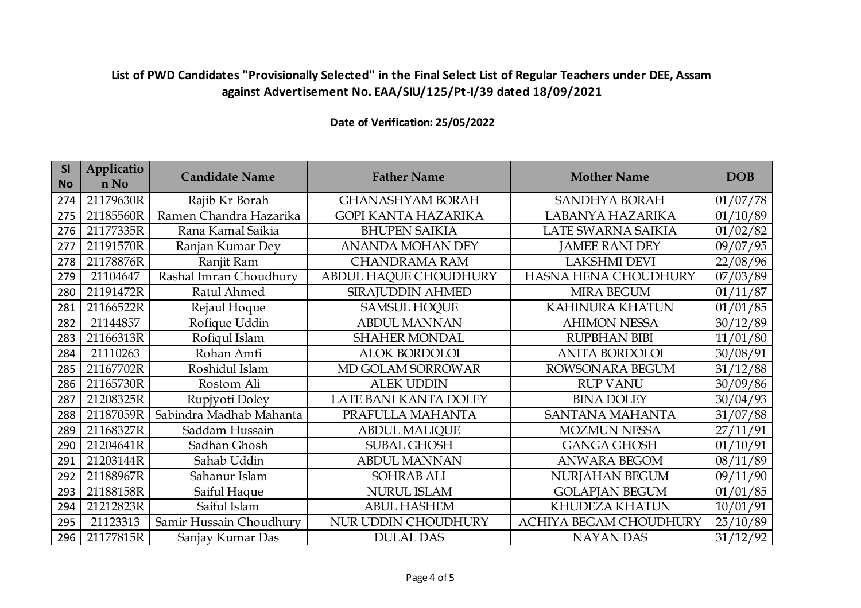| SI<br><b>No</b> | Applicatio<br>n No | <b>Candidate Name</b>   | <b>Father Name</b>         | <b>Mother Name</b>          | <b>DOB</b> |
|-----------------|--------------------|-------------------------|----------------------------|-----------------------------|------------|
| 274             | 21179630R          | Rajib Kr Borah          | <b>GHANASHYAM BORAH</b>    | <b>SANDHYA BORAH</b>        | 01/07/78   |
| 275             | 21185560R          | Ramen Chandra Hazarika  | <b>GOPI KANTA HAZARIKA</b> | LABANYA HAZARIKA            | 01/10/89   |
| 276             | 21177335R          | Rana Kamal Saikia       | <b>BHUPEN SAIKIA</b>       | LATE SWARNA SAIKIA          | 01/02/82   |
| 277             | 21191570R          | Ranjan Kumar Dey        | <b>ANANDA MOHAN DEY</b>    | <b>JAMEE RANI DEY</b>       | 09/07/95   |
| 278             | 21178876R          | Ranjit Ram              | <b>CHANDRAMA RAM</b>       | <b>LAKSHMI DEVI</b>         | 22/08/96   |
| 279             | 21104647           | Rashal Imran Choudhury  | ABDUL HAQUE CHOUDHURY      | <b>HASNA HENA CHOUDHURY</b> | 07/03/89   |
| 280             | 21191472R          | Ratul Ahmed             | SIRAJUDDIN AHMED           | <b>MIRA BEGUM</b>           | 01/11/87   |
| 281             | 21166522R          | Rejaul Hoque            | <b>SAMSUL HOQUE</b>        | <b>KAHINURA KHATUN</b>      | 01/01/85   |
| 282             | 21144857           | Rofique Uddin           | <b>ABDUL MANNAN</b>        | <b>AHIMON NESSA</b>         | 30/12/89   |
| 283             | 21166313R          | Rofiqul Islam           | <b>SHAHER MONDAL</b>       | <b>RUPBHAN BIBI</b>         | 11/01/80   |
| 284             | 21110263           | Rohan Amfi              | <b>ALOK BORDOLOI</b>       | <b>ANITA BORDOLOI</b>       | 30/08/91   |
| 285             | 21167702R          | Roshidul Islam          | MD GOLAM SORROWAR          | ROWSONARA BEGUM             | 31/12/88   |
| 286             | 21165730R          | Rostom Ali              | <b>ALEK UDDIN</b>          | <b>RUP VANU</b>             | 30/09/86   |
| 287             | 21208325R          | Rupjyoti Doley          | LATE BANI KANTA DOLEY      | <b>BINA DOLEY</b>           | 30/04/93   |
| 288             | 21187059R          | Sabindra Madhab Mahanta | PRAFULLA MAHANTA           | SANTANA MAHANTA             | 31/07/88   |
| 289             | 21168327R          | Saddam Hussain          | <b>ABDUL MALIQUE</b>       | <b>MOZMUN NESSA</b>         | 27/11/91   |
| 290             | 21204641R          | Sadhan Ghosh            | <b>SUBAL GHOSH</b>         | <b>GANGA GHOSH</b>          | 01/10/91   |
| 291             | 21203144R          | Sahab Uddin             | <b>ABDUL MANNAN</b>        | <b>ANWARA BEGOM</b>         | 08/11/89   |
| 292             | 21188967R          | Sahanur Islam           | <b>SOHRAB ALI</b>          | NURJAHAN BEGUM              | 09/11/90   |
| 293             | 21188158R          | Saiful Haque            | <b>NURUL ISLAM</b>         | <b>GOLAPJAN BEGUM</b>       | 01/01/85   |
| 294             | 21212823R          | Saiful Islam            | <b>ABUL HASHEM</b>         | KHUDEZA KHATUN              | 10/01/91   |
| 295             | 21123313           | Samir Hussain Choudhury | NUR UDDIN CHOUDHURY        | ACHIYA BEGAM CHOUDHURY      | 25/10/89   |
| 296             | 21177815R          | Sanjay Kumar Das        | <b>DULAL DAS</b>           | <b>NAYAN DAS</b>            | 31/12/92   |